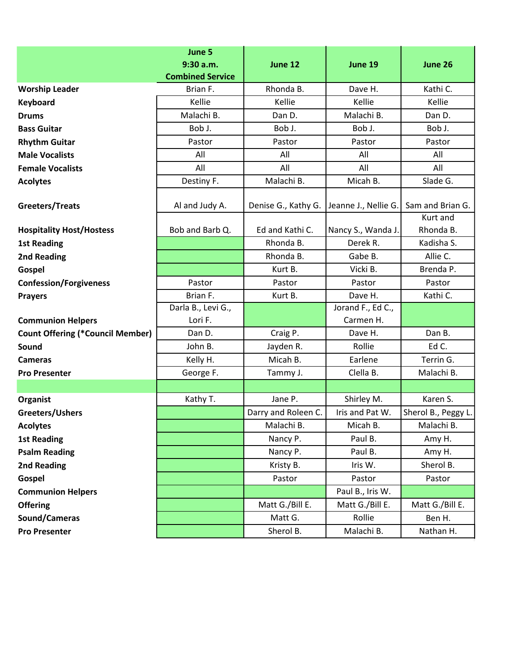|                                         | June 5                  |                     |                      |                              |
|-----------------------------------------|-------------------------|---------------------|----------------------|------------------------------|
|                                         | 9:30 a.m.               | June 12             | June 19              | June 26                      |
|                                         | <b>Combined Service</b> |                     |                      |                              |
| <b>Worship Leader</b>                   | Brian F.                | Rhonda B.           | Dave H.              | Kathi C.                     |
| Keyboard                                | Kellie                  | Kellie              | Kellie               | Kellie                       |
| <b>Drums</b>                            | Malachi B.              | Dan D.              | Malachi B.           | Dan D.                       |
| <b>Bass Guitar</b>                      | Bob J.                  | Bob J.              | Bob J.               | Bob J.                       |
| <b>Rhythm Guitar</b>                    | Pastor                  | Pastor              | Pastor               | Pastor                       |
| <b>Male Vocalists</b>                   | All                     | All                 | All                  | All                          |
| <b>Female Vocalists</b>                 | All                     | All                 | All                  | All                          |
| <b>Acolytes</b>                         | Destiny F.              | Malachi B.          | Micah B.             | Slade G.                     |
| Greeters/Treats                         | Al and Judy A.          | Denise G., Kathy G. | Jeanne J., Nellie G. | Sam and Brian G.<br>Kurt and |
| <b>Hospitality Host/Hostess</b>         | Bob and Barb Q.         | Ed and Kathi C.     | Nancy S., Wanda J.   | Rhonda B.                    |
| <b>1st Reading</b>                      |                         | Rhonda B.           | Derek R.             | Kadisha S.                   |
| 2nd Reading                             |                         | Rhonda B.           | Gabe B.              | Allie C.                     |
| Gospel                                  |                         | Kurt B.             | Vicki B.             | Brenda P.                    |
| <b>Confession/Forgiveness</b>           | Pastor                  | Pastor              | Pastor               | Pastor                       |
| <b>Prayers</b>                          | Brian F.                | Kurt B.             | Dave H.              | Kathi C.                     |
|                                         | Darla B., Levi G.,      |                     | Jorand F., Ed C.,    |                              |
| <b>Communion Helpers</b>                | Lori F.                 |                     | Carmen H.            |                              |
| <b>Count Offering (*Council Member)</b> | Dan D.                  | Craig P.            | Dave H.              | Dan B.                       |
| Sound                                   | John B.                 | Jayden R.           | Rollie               | Ed C.                        |
| <b>Cameras</b>                          | Kelly H.                | Micah B.            | Earlene              | Terrin G.                    |
| <b>Pro Presenter</b>                    | George F.               | Tammy J.            | Clella B.            | Malachi B.                   |
|                                         |                         |                     |                      |                              |
| Organist                                | Kathy T.                | Jane P.             | Shirley M.           | Karen S.                     |
| Greeters/Ushers                         |                         | Darry and Roleen C. | Iris and Pat W.      | Sherol B., Peggy L.          |
| <b>Acolytes</b>                         |                         | Malachi B.          | Micah B.             | Malachi B.                   |
| <b>1st Reading</b>                      |                         | Nancy P.            | Paul B.              | Amy H.                       |
| <b>Psalm Reading</b>                    |                         | Nancy P.            | Paul B.              | Amy H.                       |
| 2nd Reading                             |                         | Kristy B.           | Iris W.              | Sherol B.                    |
| Gospel                                  |                         | Pastor              | Pastor               | Pastor                       |
| <b>Communion Helpers</b>                |                         |                     | Paul B., Iris W.     |                              |
| <b>Offering</b>                         |                         | Matt G./Bill E.     | Matt G./Bill E.      | Matt G./Bill E.              |
| Sound/Cameras                           |                         | Matt G.             | Rollie               | Ben H.                       |
| <b>Pro Presenter</b>                    |                         | Sherol B.           | Malachi B.           | Nathan H.                    |